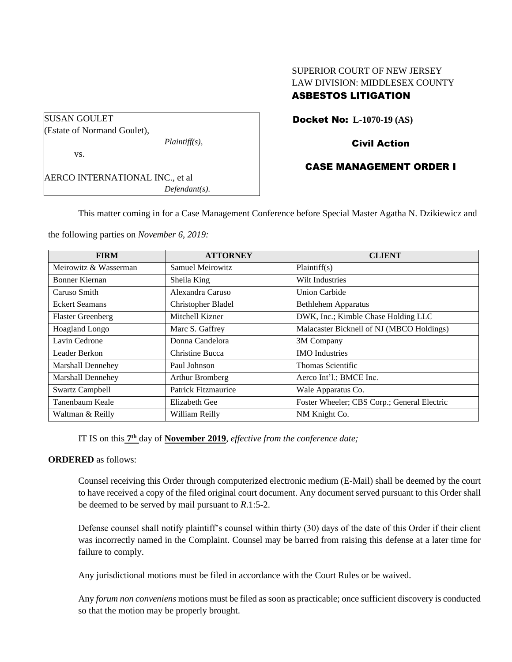# SUPERIOR COURT OF NEW JERSEY LAW DIVISION: MIDDLESEX COUNTY

# ASBESTOS LITIGATION

Docket No: **L-1070-19 (AS)**

# Civil Action

# CASE MANAGEMENT ORDER I

AERCO INTERNATIONAL INC., et al *Defendant(s).*

*Plaintiff(s),*

SUSAN GOULET

vs.

(Estate of Normand Goulet),

This matter coming in for a Case Management Conference before Special Master Agatha N. Dzikiewicz and

the following parties on *November 6, 2019:*

| <b>FIRM</b>              | <b>ATTORNEY</b>     | <b>CLIENT</b>                               |
|--------------------------|---------------------|---------------------------------------------|
| Meirowitz & Wasserman    | Samuel Meirowitz    | Plaintiff(s)                                |
| Bonner Kiernan           | Sheila King         | Wilt Industries                             |
| Caruso Smith             | Alexandra Caruso    | <b>Union Carbide</b>                        |
| <b>Eckert Seamans</b>    | Christopher Bladel  | <b>Bethlehem Apparatus</b>                  |
| <b>Flaster Greenberg</b> | Mitchell Kizner     | DWK, Inc.; Kimble Chase Holding LLC         |
| Hoagland Longo           | Marc S. Gaffrey     | Malacaster Bicknell of NJ (MBCO Holdings)   |
| Lavin Cedrone            | Donna Candelora     | 3M Company                                  |
| Leader Berkon            | Christine Bucca     | <b>IMO</b> Industries                       |
| <b>Marshall Dennehey</b> | Paul Johnson        | Thomas Scientific                           |
| <b>Marshall Dennehey</b> | Arthur Bromberg     | Aerco Int'l.; BMCE Inc.                     |
| <b>Swartz Campbell</b>   | Patrick Fitzmaurice | Wale Apparatus Co.                          |
| Tanenbaum Keale          | Elizabeth Gee       | Foster Wheeler; CBS Corp.; General Electric |
| Waltman & Reilly         | William Reilly      | NM Knight Co.                               |

IT IS on this  $7<sup>th</sup>$  day of **November 2019**, *effective from the conference date*;

#### **ORDERED** as follows:

Counsel receiving this Order through computerized electronic medium (E-Mail) shall be deemed by the court to have received a copy of the filed original court document. Any document served pursuant to this Order shall be deemed to be served by mail pursuant to *R*.1:5-2.

Defense counsel shall notify plaintiff's counsel within thirty (30) days of the date of this Order if their client was incorrectly named in the Complaint. Counsel may be barred from raising this defense at a later time for failure to comply.

Any jurisdictional motions must be filed in accordance with the Court Rules or be waived.

Any *forum non conveniens* motions must be filed as soon as practicable; once sufficient discovery is conducted so that the motion may be properly brought.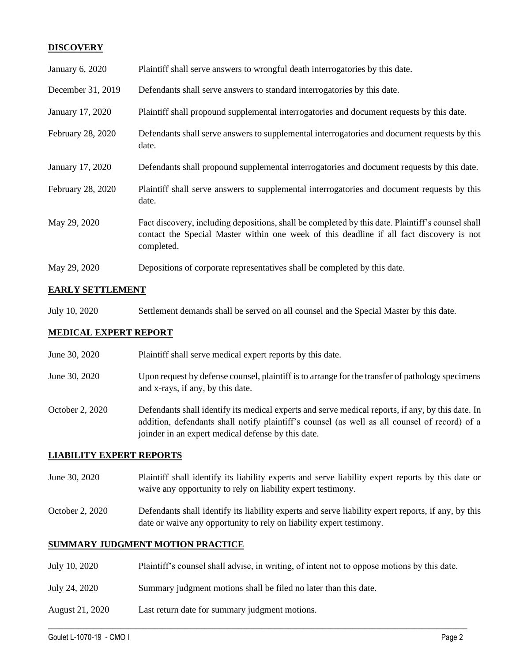## **DISCOVERY**

| January 6, 2020   | Plaintiff shall serve answers to wrongful death interrogatories by this date.                                                                                                                               |
|-------------------|-------------------------------------------------------------------------------------------------------------------------------------------------------------------------------------------------------------|
| December 31, 2019 | Defendants shall serve answers to standard interrogatories by this date.                                                                                                                                    |
| January 17, 2020  | Plaintiff shall propound supplemental interrogatories and document requests by this date.                                                                                                                   |
| February 28, 2020 | Defendants shall serve answers to supplemental interrogatories and document requests by this<br>date.                                                                                                       |
| January 17, 2020  | Defendants shall propound supplemental interrogatories and document requests by this date.                                                                                                                  |
| February 28, 2020 | Plaintiff shall serve answers to supplemental interrogatories and document requests by this<br>date.                                                                                                        |
| May 29, 2020      | Fact discovery, including depositions, shall be completed by this date. Plaintiff's counsel shall<br>contact the Special Master within one week of this deadline if all fact discovery is not<br>completed. |
| May 29, 2020      | Depositions of corporate representatives shall be completed by this date.                                                                                                                                   |

## **EARLY SETTLEMENT**

July 10, 2020 Settlement demands shall be served on all counsel and the Special Master by this date.

#### **MEDICAL EXPERT REPORT**

- June 30, 2020 Plaintiff shall serve medical expert reports by this date.
- June 30, 2020 Upon request by defense counsel, plaintiff is to arrange for the transfer of pathology specimens and x-rays, if any, by this date.
- October 2, 2020 Defendants shall identify its medical experts and serve medical reports, if any, by this date. In addition, defendants shall notify plaintiff's counsel (as well as all counsel of record) of a joinder in an expert medical defense by this date.

### **LIABILITY EXPERT REPORTS**

- June 30, 2020 Plaintiff shall identify its liability experts and serve liability expert reports by this date or waive any opportunity to rely on liability expert testimony.
- October 2, 2020 Defendants shall identify its liability experts and serve liability expert reports, if any, by this date or waive any opportunity to rely on liability expert testimony.

## **SUMMARY JUDGMENT MOTION PRACTICE**

July 10, 2020 Plaintiff's counsel shall advise, in writing, of intent not to oppose motions by this date.

 $\_$  , and the set of the set of the set of the set of the set of the set of the set of the set of the set of the set of the set of the set of the set of the set of the set of the set of the set of the set of the set of th

- July 24, 2020 Summary judgment motions shall be filed no later than this date.
- August 21, 2020 Last return date for summary judgment motions.